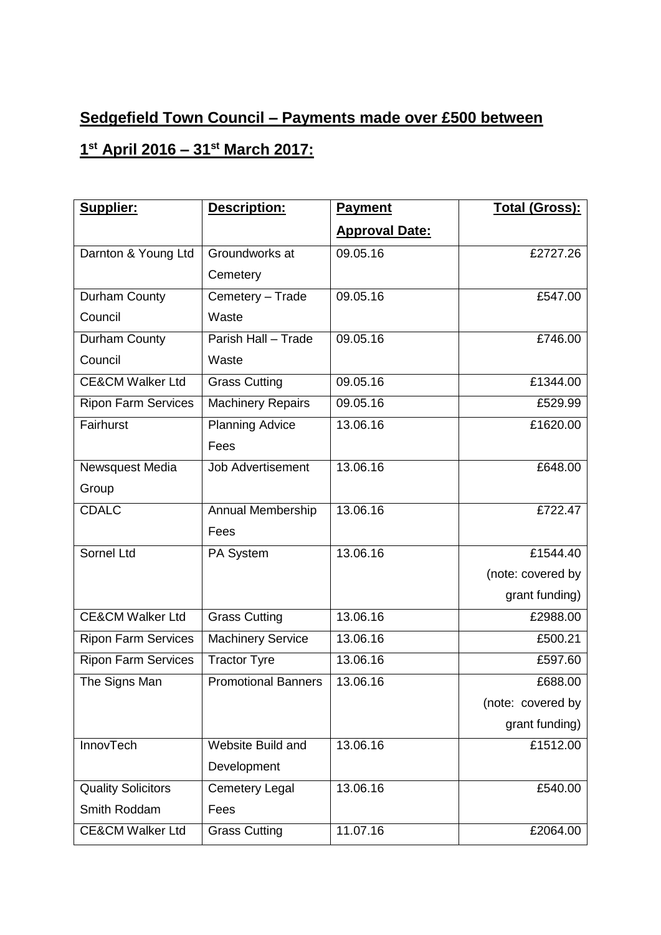## **Sedgefield Town Council – Payments made over £500 between**

## **1 st April 2016 – 31st March 2017:**

| Supplier:                   | Description:               | <b>Payment</b>        | <b>Total (Gross):</b> |
|-----------------------------|----------------------------|-----------------------|-----------------------|
|                             |                            | <b>Approval Date:</b> |                       |
| Darnton & Young Ltd         | Groundworks at             | 09.05.16              | £2727.26              |
|                             | Cemetery                   |                       |                       |
| Durham County               | Cemetery - Trade           | 09.05.16              | £547.00               |
| Council                     | Waste                      |                       |                       |
| Durham County               | Parish Hall - Trade        | 09.05.16              | £746.00               |
| Council                     | Waste                      |                       |                       |
| <b>CE&amp;CM Walker Ltd</b> | <b>Grass Cutting</b>       | 09.05.16              | £1344.00              |
| <b>Ripon Farm Services</b>  | <b>Machinery Repairs</b>   | 09.05.16              | £529.99               |
| Fairhurst                   | <b>Planning Advice</b>     | 13.06.16              | £1620.00              |
|                             | Fees                       |                       |                       |
| Newsquest Media             | <b>Job Advertisement</b>   | 13.06.16              | £648.00               |
| Group                       |                            |                       |                       |
| <b>CDALC</b>                | Annual Membership          | 13.06.16              | £722.47               |
|                             | Fees                       |                       |                       |
| Sornel Ltd                  | PA System                  | 13.06.16              | £1544.40              |
|                             |                            |                       | (note: covered by     |
|                             |                            |                       | grant funding)        |
| <b>CE&amp;CM Walker Ltd</b> | <b>Grass Cutting</b>       | 13.06.16              | £2988.00              |
| <b>Ripon Farm Services</b>  | <b>Machinery Service</b>   | 13.06.16              | £500.21               |
| <b>Ripon Farm Services</b>  | <b>Tractor Tyre</b>        | 13.06.16              | £597.60               |
| The Signs Man               | <b>Promotional Banners</b> | 13.06.16              | £688.00               |
|                             |                            |                       | (note: covered by     |
|                             |                            |                       | grant funding)        |
| InnovTech                   | <b>Website Build and</b>   | 13.06.16              | £1512.00              |
|                             | Development                |                       |                       |
| <b>Quality Solicitors</b>   | <b>Cemetery Legal</b>      | 13.06.16              | £540.00               |
| Smith Roddam                | Fees                       |                       |                       |
| <b>CE&amp;CM Walker Ltd</b> | <b>Grass Cutting</b>       | 11.07.16              | £2064.00              |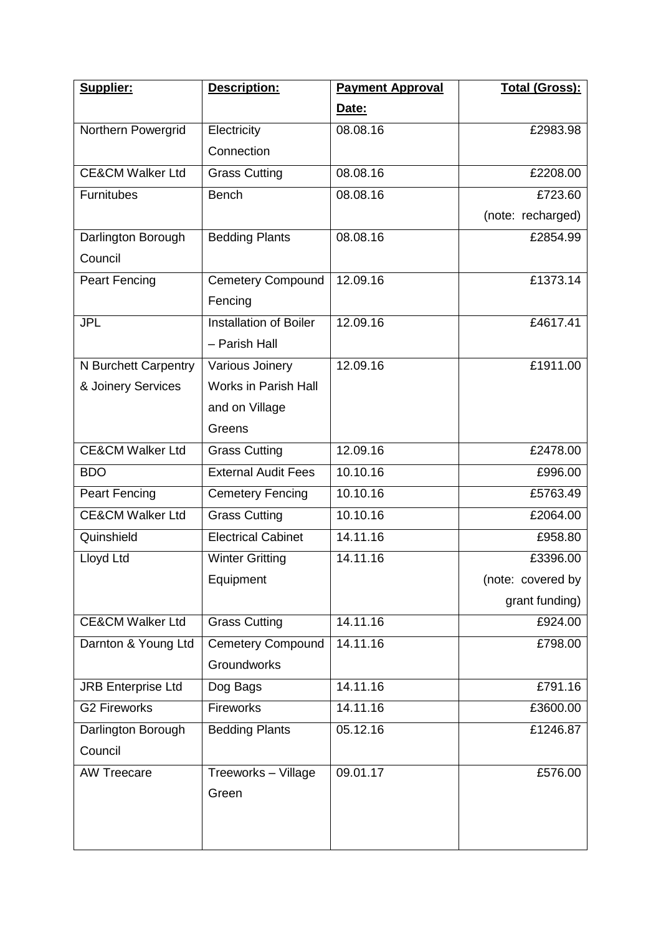| Supplier:                   | Description:                  | <b>Payment Approval</b> | Total (Gross):    |
|-----------------------------|-------------------------------|-------------------------|-------------------|
|                             |                               | Date:                   |                   |
| Northern Powergrid          | Electricity                   | 08.08.16                | £2983.98          |
|                             | Connection                    |                         |                   |
| <b>CE&amp;CM Walker Ltd</b> | <b>Grass Cutting</b>          | 08.08.16                | £2208.00          |
| Furnitubes                  | <b>Bench</b>                  | 08.08.16                | £723.60           |
|                             |                               |                         | (note: recharged) |
| Darlington Borough          | <b>Bedding Plants</b>         | 08.08.16                | £2854.99          |
| Council                     |                               |                         |                   |
| Peart Fencing               | <b>Cemetery Compound</b>      | 12.09.16                | £1373.14          |
|                             | Fencing                       |                         |                   |
| <b>JPL</b>                  | <b>Installation of Boiler</b> | 12.09.16                | £4617.41          |
|                             | - Parish Hall                 |                         |                   |
| N Burchett Carpentry        | Various Joinery               | 12.09.16                | £1911.00          |
| & Joinery Services          | <b>Works in Parish Hall</b>   |                         |                   |
|                             | and on Village                |                         |                   |
|                             | Greens                        |                         |                   |
| <b>CE&amp;CM Walker Ltd</b> | <b>Grass Cutting</b>          | 12.09.16                | £2478.00          |
| <b>BDO</b>                  | <b>External Audit Fees</b>    | 10.10.16                | £996.00           |
| <b>Peart Fencing</b>        | <b>Cemetery Fencing</b>       | 10.10.16                | £5763.49          |
| <b>CE&amp;CM Walker Ltd</b> | <b>Grass Cutting</b>          | 10.10.16                | £2064.00          |
| Quinshield                  | <b>Electrical Cabinet</b>     | 14.11.16                | £958.80           |
| Lloyd Ltd                   | <b>Winter Gritting</b>        | 14.11.16                | £3396.00          |
|                             | Equipment                     |                         | (note: covered by |
|                             |                               |                         | grant funding)    |
| <b>CE&amp;CM Walker Ltd</b> | <b>Grass Cutting</b>          | 14.11.16                | £924.00           |
| Darnton & Young Ltd         | <b>Cemetery Compound</b>      | 14.11.16                | £798.00           |
|                             | <b>Groundworks</b>            |                         |                   |
| <b>JRB Enterprise Ltd</b>   | Dog Bags                      | 14.11.16                | £791.16           |
| <b>G2 Fireworks</b>         | <b>Fireworks</b>              | 14.11.16                | £3600.00          |
| Darlington Borough          | <b>Bedding Plants</b>         | 05.12.16                | £1246.87          |
| Council                     |                               |                         |                   |
| <b>AW Treecare</b>          | Treeworks - Village           | 09.01.17                | £576.00           |
|                             | Green                         |                         |                   |
|                             |                               |                         |                   |
|                             |                               |                         |                   |